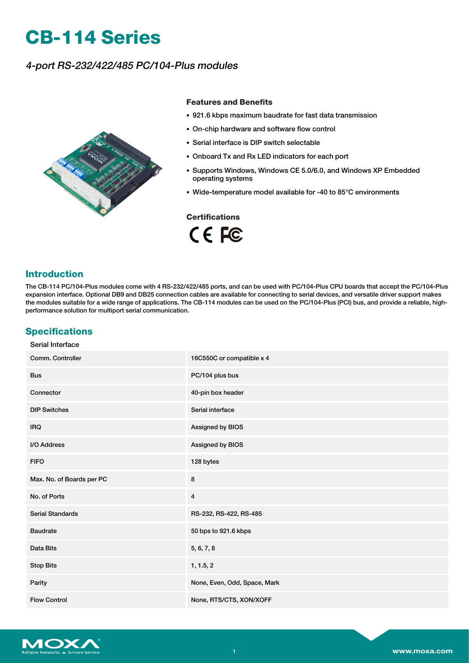# **CB-114 Series**

# 4-port RS-232/422/485 PC/104-Plus modules



#### **Features and Benefits**

- 921.6 kbps maximum baudrate for fast data transmission
- On-chip hardware and software flow control
- Serial interface is DIP switch selectable
- Onboard Tx and Rx LED indicators for each port
- Supports Windows, Windows CE 5.0/6.0, and Windows XP Embedded operating systems
- Wide-temperature model available for -40 to 85°C environments

### **Certifications**

CE FC

## **Introduction**

The CB-114 PC/104-Plus modules come with 4 RS-232/422/485 ports, and can be used with PC/104-Plus CPU boards that accept the PC/104-Plus expansion interface. Optional DB9 and DB25 connection cables are available for connecting to serial devices, and versatile driver support makes the modules suitable for a wide range of applications. The CB-114 modules can be used on the PC/104-Plus (PCI) bus, and provide a reliable, highperformance solution for multiport serial communication.

## **Specifications**

| Serial Interface          |                              |
|---------------------------|------------------------------|
| Comm. Controller          | 16C550C or compatible x 4    |
| <b>Bus</b>                | PC/104 plus bus              |
| Connector                 | 40-pin box header            |
| <b>DIP Switches</b>       | Serial interface             |
| <b>IRQ</b>                | Assigned by BIOS             |
| I/O Address               | Assigned by BIOS             |
| <b>FIFO</b>               | 128 bytes                    |
| Max. No. of Boards per PC | 8                            |
| No. of Ports              | $\overline{\mathbf{4}}$      |
| <b>Serial Standards</b>   | RS-232, RS-422, RS-485       |
| <b>Baudrate</b>           | 50 bps to 921.6 kbps         |
| Data Bits                 | 5, 6, 7, 8                   |
| <b>Stop Bits</b>          | 1, 1.5, 2                    |
| Parity                    | None, Even, Odd, Space, Mark |
| <b>Flow Control</b>       | None, RTS/CTS, XON/XOFF      |

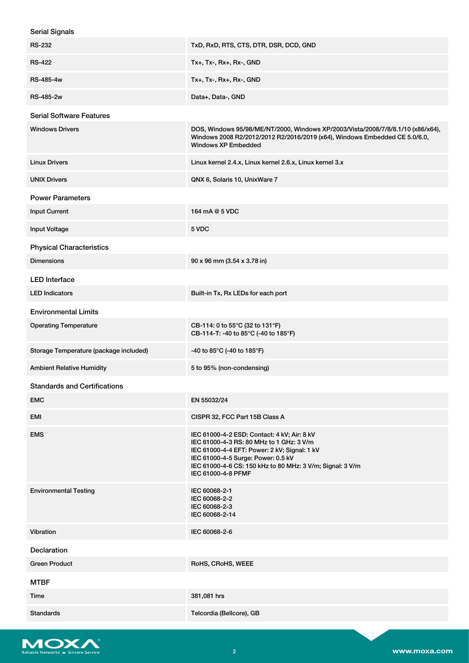| <b>Serial Signals</b>                  |                                                                                                                                                                                                                                                                  |
|----------------------------------------|------------------------------------------------------------------------------------------------------------------------------------------------------------------------------------------------------------------------------------------------------------------|
| <b>RS-232</b>                          | TxD, RxD, RTS, CTS, DTR, DSR, DCD, GND                                                                                                                                                                                                                           |
| <b>RS-422</b>                          | Tx+, Tx-, Rx+, Rx-, GND                                                                                                                                                                                                                                          |
| RS-485-4w                              | Tx+, Tx-, Rx+, Rx-, GND                                                                                                                                                                                                                                          |
| RS-485-2w                              | Data+, Data-, GND                                                                                                                                                                                                                                                |
| <b>Serial Software Features</b>        |                                                                                                                                                                                                                                                                  |
| <b>Windows Drivers</b>                 | DOS, Windows 95/98/ME/NT/2000, Windows XP/2003/Vista/2008/7/8/8.1/10 (x86/x64),<br>Windows 2008 R2/2012/2012 R2/2016/2019 (x64), Windows Embedded CE 5.0/6.0,<br><b>Windows XP Embedded</b>                                                                      |
| <b>Linux Drivers</b>                   | Linux kernel 2.4.x, Linux kernel 2.6.x, Linux kernel 3.x                                                                                                                                                                                                         |
| <b>UNIX Drivers</b>                    | QNX 6, Solaris 10, UnixWare 7                                                                                                                                                                                                                                    |
| <b>Power Parameters</b>                |                                                                                                                                                                                                                                                                  |
| <b>Input Current</b>                   | 164 mA @ 5 VDC                                                                                                                                                                                                                                                   |
| <b>Input Voltage</b>                   | 5 VDC                                                                                                                                                                                                                                                            |
| <b>Physical Characteristics</b>        |                                                                                                                                                                                                                                                                  |
| <b>Dimensions</b>                      | 90 x 96 mm (3.54 x 3.78 in)                                                                                                                                                                                                                                      |
| <b>LED</b> Interface                   |                                                                                                                                                                                                                                                                  |
| <b>LED Indicators</b>                  | Built-in Tx, Rx LEDs for each port                                                                                                                                                                                                                               |
| <b>Environmental Limits</b>            |                                                                                                                                                                                                                                                                  |
| <b>Operating Temperature</b>           | CB-114: 0 to 55°C (32 to 131°F)<br>CB-114-T: -40 to 85°C (-40 to 185°F)                                                                                                                                                                                          |
| Storage Temperature (package included) | -40 to 85°C (-40 to 185°F)                                                                                                                                                                                                                                       |
| <b>Ambient Relative Humidity</b>       | 5 to 95% (non-condensing)                                                                                                                                                                                                                                        |
| <b>Standards and Certifications</b>    |                                                                                                                                                                                                                                                                  |
| <b>EMC</b>                             | EN 55032/24                                                                                                                                                                                                                                                      |
| EMI                                    | CISPR 32, FCC Part 15B Class A                                                                                                                                                                                                                                   |
| <b>EMS</b>                             | IEC 61000-4-2 ESD: Contact: 4 kV; Air: 8 kV<br>IEC 61000-4-3 RS: 80 MHz to 1 GHz: 3 V/m<br>IEC 61000-4-4 EFT: Power: 2 kV; Signal: 1 kV<br>IEC 61000-4-5 Surge: Power: 0.5 kV<br>IEC 61000-4-6 CS: 150 kHz to 80 MHz: 3 V/m; Signal: 3 V/m<br>IEC 61000-4-8 PFMF |
| <b>Environmental Testing</b>           | IEC 60068-2-1<br>IEC 60068-2-2<br>IEC 60068-2-3<br>IEC 60068-2-14                                                                                                                                                                                                |
| Vibration                              | IEC 60068-2-6                                                                                                                                                                                                                                                    |
| <b>Declaration</b>                     |                                                                                                                                                                                                                                                                  |
| <b>Green Product</b>                   | RoHS, CRoHS, WEEE                                                                                                                                                                                                                                                |
| <b>MTBF</b>                            |                                                                                                                                                                                                                                                                  |
| Time                                   | 381,081 hrs                                                                                                                                                                                                                                                      |
| <b>Standards</b>                       | Telcordia (Bellcore), GB                                                                                                                                                                                                                                         |